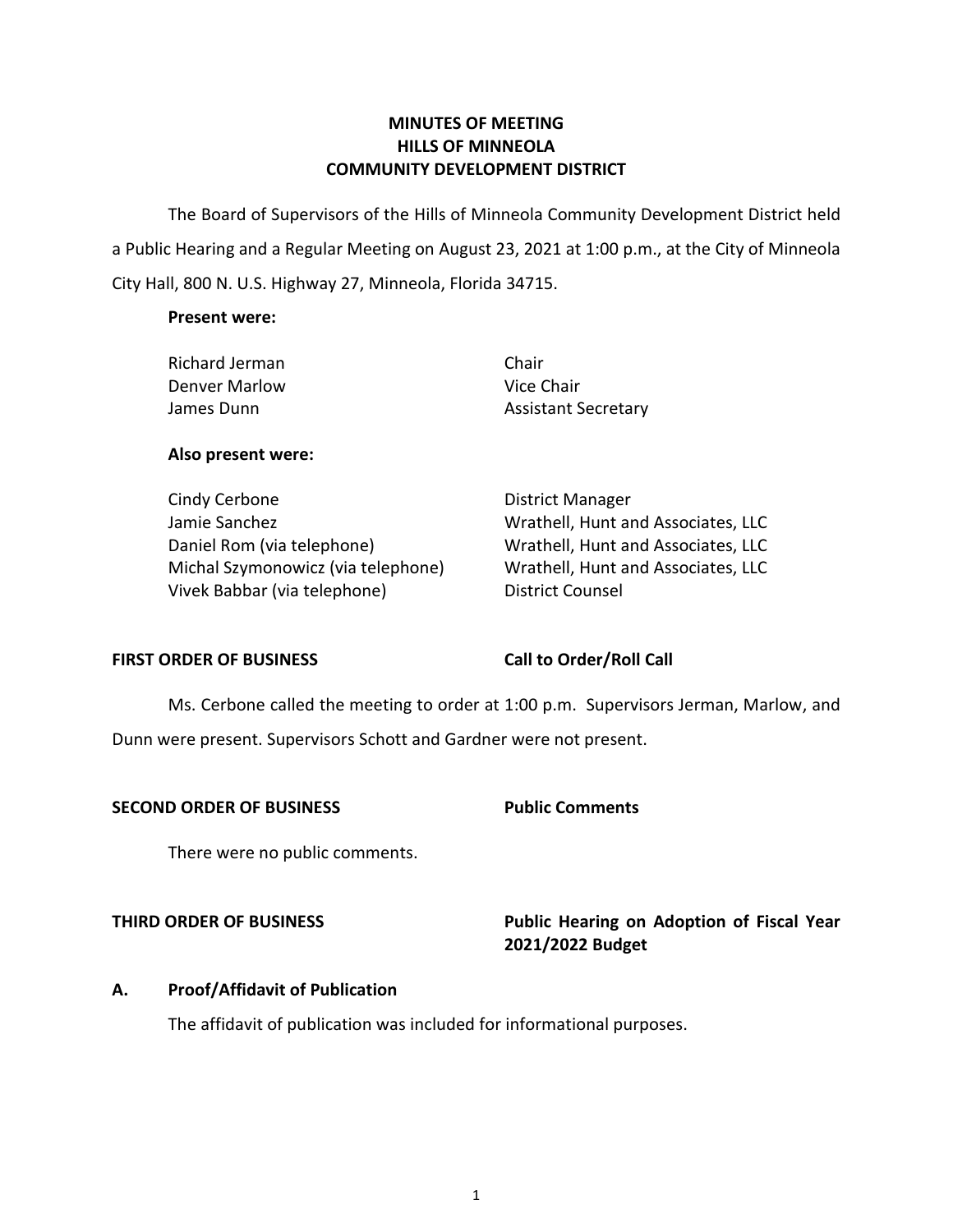# **MINUTES OF MEETING HILLS OF MINNEOLA COMMUNITY DEVELOPMENT DISTRICT**

 The Board of Supervisors of the Hills of Minneola Community Development District held a Public Hearing and a Regular Meeting on August 23, 2021 at 1:00 p.m., at the City of Minneola City Hall, 800 N. U.S. Highway 27, Minneola, Florida 34715.

### **Present were:**

| Richard Jerman | Chair                      |
|----------------|----------------------------|
| Denver Marlow  | Vice Chair                 |
| James Dunn     | <b>Assistant Secretary</b> |

# **Also present were:**

 Jamie Sanchez Wrathell, Hunt and Associates, LLC Daniel Rom (via telephone) Wrathell, Hunt and Associates, LLC Cindy Cerbone **District Manager** Michal Szymonowicz (via telephone) Vivek Babbar (via telephone) District Counsel

Wrathell, Hunt and Associates, LLC

# FIRST ORDER OF BUSINESS Call to Order/Roll Call

 Ms. Cerbone called the meeting to order at 1:00 p.m. Supervisors Jerman, Marlow, and Dunn were present. Supervisors Schott and Gardner were not present.

### **SECOND ORDER OF BUSINESS Public Comments**

There were no public comments.

**THIRD ORDER OF BUSINESS Public Hearing on Adoption of Fiscal Year 2021/2022 Budget** 

# **A. Proof/Affidavit of Publication**

The affidavit of publication was included for informational purposes.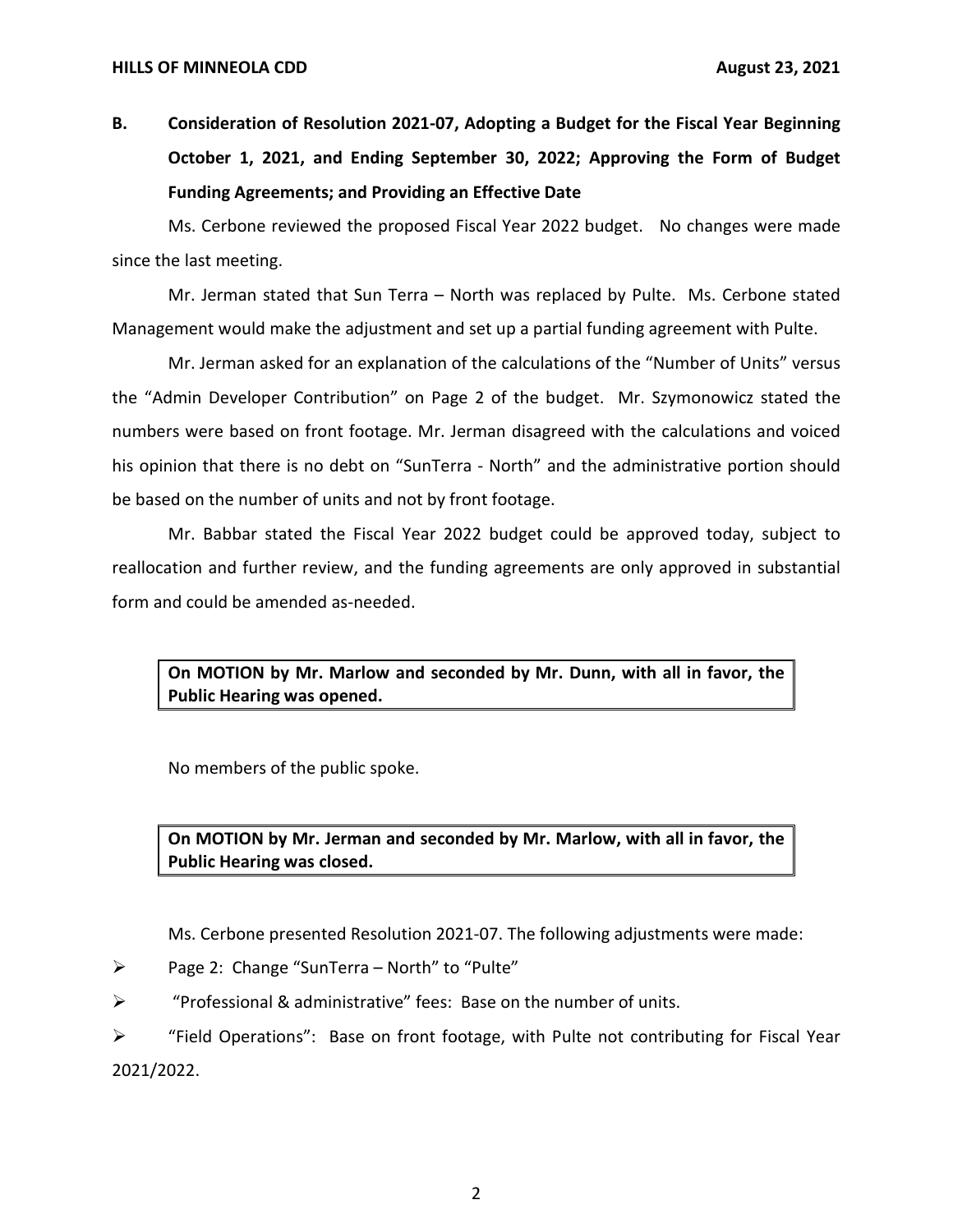**B. Consideration of Resolution 2021-07, Adopting a Budget for the Fiscal Year Beginning October 1, 2021, and Ending September 30, 2022; Approving the Form of Budget Funding Agreements; and Providing an Effective Date** 

 Ms. Cerbone reviewed the proposed Fiscal Year 2022 budget. No changes were made since the last meeting.

Mr. Jerman stated that Sun Terra – North was replaced by Pulte. Ms. Cerbone stated Management would make the adjustment and set up a partial funding agreement with Pulte.

Mr. Jerman asked for an explanation of the calculations of the "Number of Units" versus the "Admin Developer Contribution" on Page 2 of the budget. Mr. Szymonowicz stated the numbers were based on front footage. Mr. Jerman disagreed with the calculations and voiced his opinion that there is no debt on "SunTerra - North" and the administrative portion should be based on the number of units and not by front footage.

Mr. Babbar stated the Fiscal Year 2022 budget could be approved today, subject to reallocation and further review, and the funding agreements are only approved in substantial form and could be amended as-needed.

 **On MOTION by Mr. Marlow and seconded by Mr. Dunn, with all in favor, the Public Hearing was opened.** 

No members of the public spoke.

 **On MOTION by Mr. Jerman and seconded by Mr. Marlow, with all in favor, the Public Hearing was closed.** 

Ms. Cerbone presented Resolution 2021-07. The following adjustments were made:

➢ Page 2: Change "SunTerra – North" to "Pulte"

➢ "Professional & administrative" fees: Base on the number of units.

 $\triangleright$  "Field Operations": Base on front footage, with Pulte not contributing for Fiscal Year 2021/2022.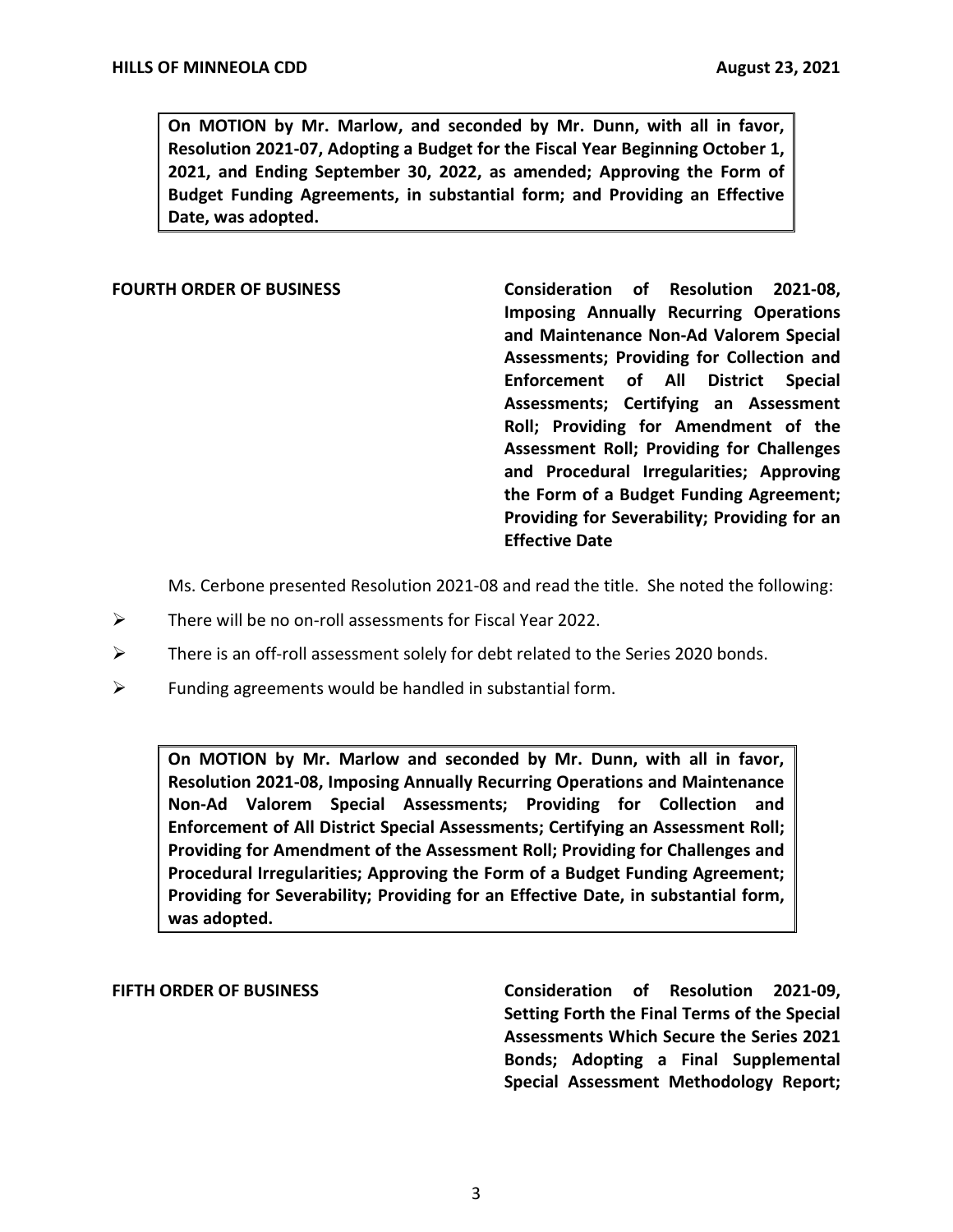**On MOTION by Mr. Marlow, and seconded by Mr. Dunn, with all in favor, Resolution 2021-07, Adopting a Budget for the Fiscal Year Beginning October 1, 2021, and Ending September 30, 2022, as amended; Approving the Form of Budget Funding Agreements, in substantial form; and Providing an Effective Date, was adopted.** 

FOURTH ORDER OF BUSINESS **Consideration of Resolution 2021-08**, **Imposing Annually Recurring Operations and Maintenance Non-Ad Valorem Special Assessments; Providing for Collection and Enforcement of All District Special Assessments; Certifying an Assessment Roll; Providing for Amendment of the Assessment Roll; Providing for Challenges and Procedural Irregularities; Approving the Form of a Budget Funding Agreement; Providing for Severability; Providing for an Effective Date** 

Ms. Cerbone presented Resolution 2021-08 and read the title. She noted the following:

- $\triangleright$  There will be no on-roll assessments for Fiscal Year 2022.
- $\triangleright$  There is an off-roll assessment solely for debt related to the Series 2020 bonds.
- $\triangleright$  Funding agreements would be handled in substantial form.

 **On MOTION by Mr. Marlow and seconded by Mr. Dunn, with all in favor, Resolution 2021-08, Imposing Annually Recurring Operations and Maintenance Non-Ad Valorem Special Assessments; Providing for Collection and Enforcement of All District Special Assessments; Certifying an Assessment Roll; Providing for Amendment of the Assessment Roll; Providing for Challenges and Procedural Irregularities; Approving the Form of a Budget Funding Agreement; Providing for Severability; Providing for an Effective Date, in substantial form, was adopted.** 

 **FIFTH ORDER OF BUSINESS Consideration of Resolution 2021-09, Setting Forth the Final Terms of the Special Assessments Which Secure the Series 2021 Bonds; Adopting a Final Supplemental Special Assessment Methodology Report;**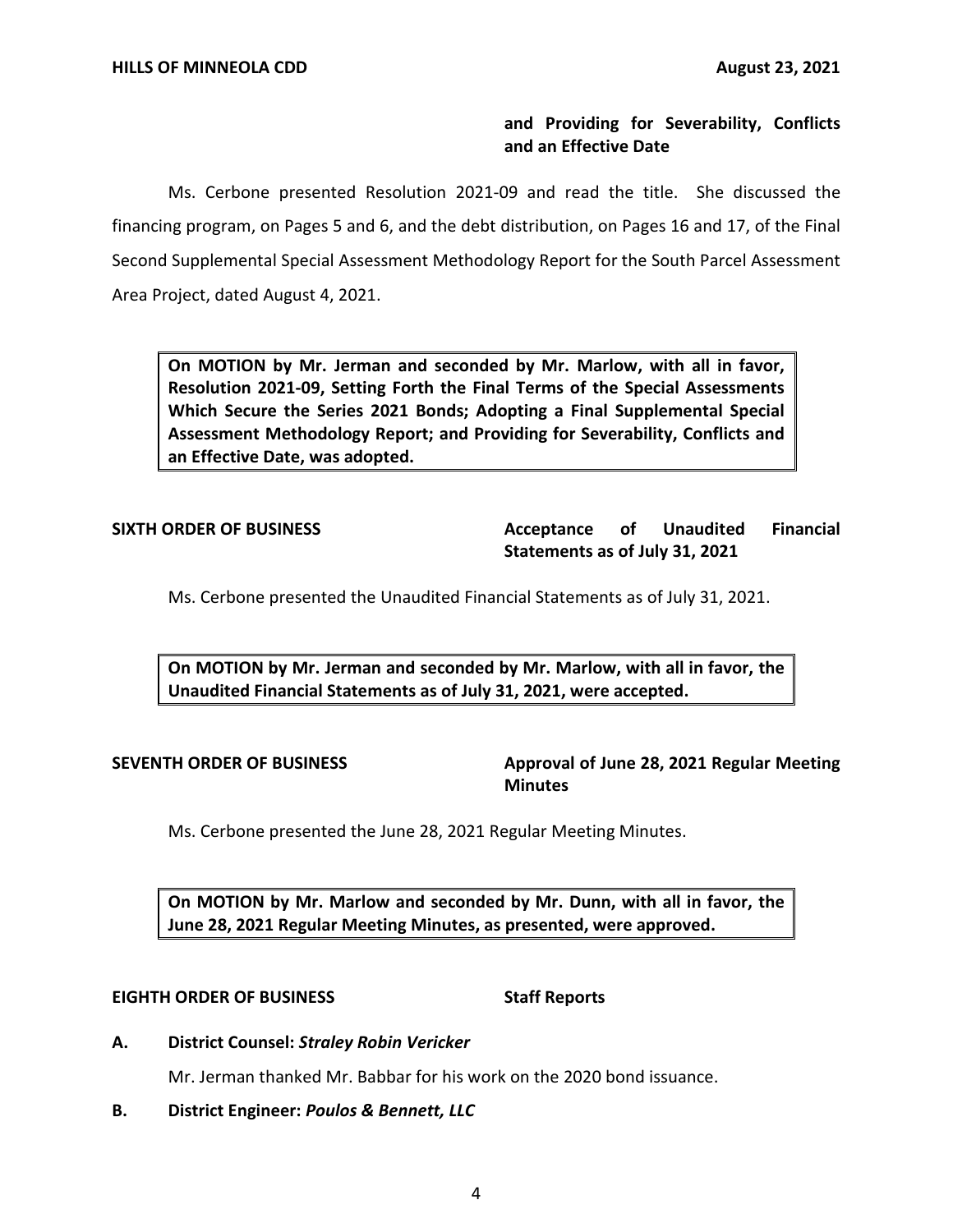# **and Providing for Severability, Conflicts and an Effective Date**

 Ms. Cerbone presented Resolution 2021-09 and read the title. She discussed the financing program, on Pages 5 and 6, and the debt distribution, on Pages 16 and 17, of the Final Second Supplemental Special Assessment Methodology Report for the South Parcel Assessment Area Project, dated August 4, 2021.

 **On MOTION by Mr. Jerman and seconded by Mr. Marlow, with all in favor, Resolution 2021-09, Setting Forth the Final Terms of the Special Assessments Which Secure the Series 2021 Bonds; Adopting a Final Supplemental Special Assessment Methodology Report; and Providing for Severability, Conflicts and an Effective Date, was adopted.** 

**Acceptance Statements as of July 31, 2021 SIXTH ORDER OF BUSINESS Acceptance of Unaudited Financial** 

Ms. Cerbone presented the Unaudited Financial Statements as of July 31, 2021.

 **On MOTION by Mr. Jerman and seconded by Mr. Marlow, with all in favor, the Unaudited Financial Statements as of July 31, 2021, were accepted.** 

**SEVENTH ORDER OF BUSINESS Approval of June 28, 2021 Regular Meeting Minutes** 

Ms. Cerbone presented the June 28, 2021 Regular Meeting Minutes.

 **On MOTION by Mr. Marlow and seconded by Mr. Dunn, with all in favor, the June 28, 2021 Regular Meeting Minutes, as presented, were approved.** 

### **EIGHTH ORDER OF BUSINESS Staff Reports**

 **A. District Counsel:** *Straley Robin Vericker* 

Mr. Jerman thanked Mr. Babbar for his work on the 2020 bond issuance.

 **B. District Engineer:** *Poulos & Bennett, LLC*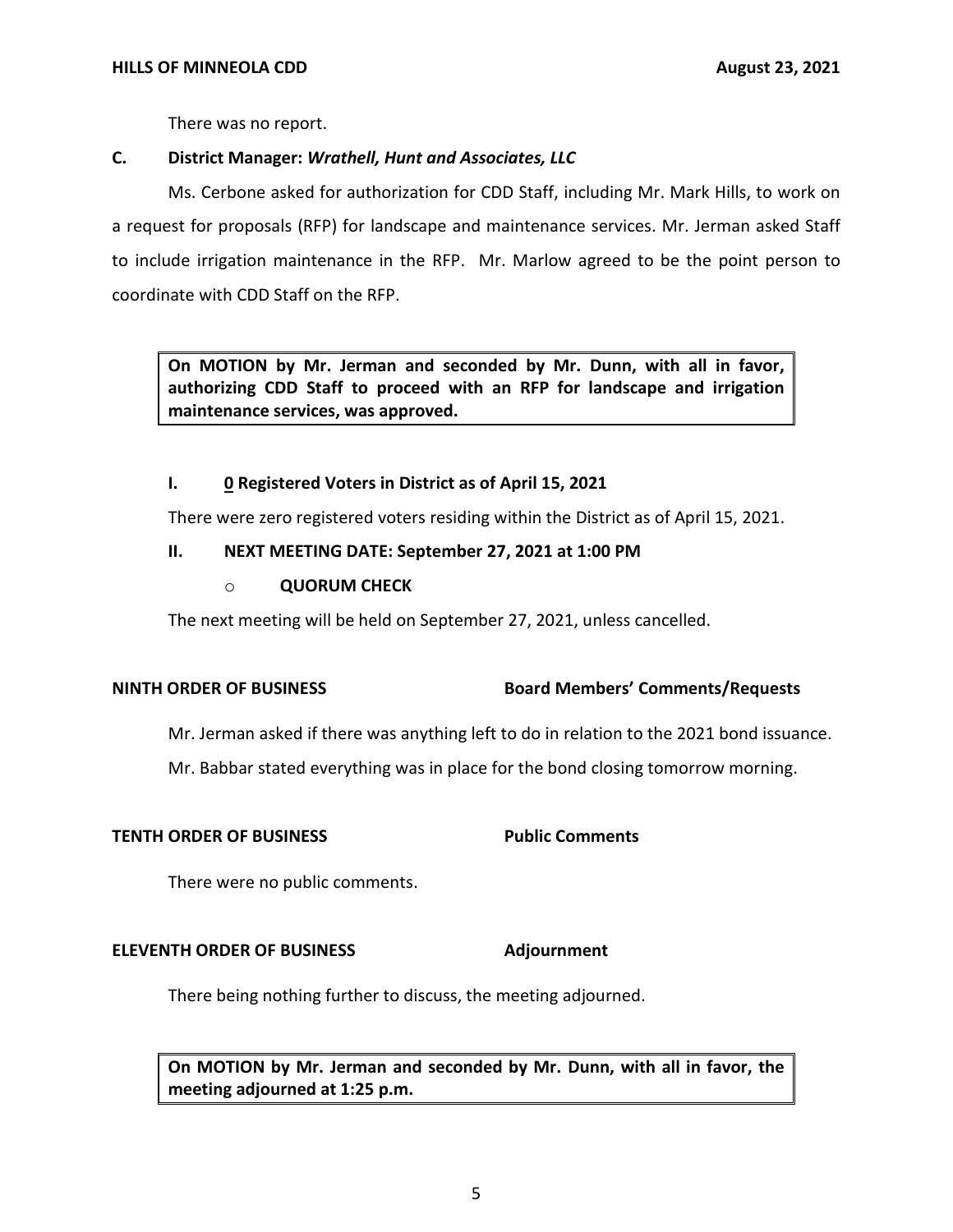There was no report.

# **C. District Manager:** *Wrathell, Hunt and Associates, LLC*

Ms. Cerbone asked for authorization for CDD Staff, including Mr. Mark Hills, to work on a request for proposals (RFP) for landscape and maintenance services. Mr. Jerman asked Staff to include irrigation maintenance in the RFP. Mr. Marlow agreed to be the point person to coordinate with CDD Staff on the RFP.

 **On MOTION by Mr. Jerman and seconded by Mr. Dunn, with all in favor, authorizing CDD Staff to proceed with an RFP for landscape and irrigation maintenance services, was approved.** 

## **I. 0 Registered Voters in District as of April 15, 2021**

There were zero registered voters residing within the District as of April 15, 2021.

# **II. NEXT MEETING DATE: September 27, 2021 at 1:00 PM**

## o **QUORUM CHECK**

The next meeting will be held on September 27, 2021, unless cancelled.

### **NINTH ORDER OF BUSINESS Board Members' Comments/Requests**

Mr. Jerman asked if there was anything left to do in relation to the 2021 bond issuance.

Mr. Babbar stated everything was in place for the bond closing tomorrow morning.

### **TENTH ORDER OF BUSINESS Public Comments**

There were no public comments.

### **ELEVENTH ORDER OF BUSINESS** Adjournment

There being nothing further to discuss, the meeting adjourned.

 **On MOTION by Mr. Jerman and seconded by Mr. Dunn, with all in favor, the meeting adjourned at 1:25 p.m.**